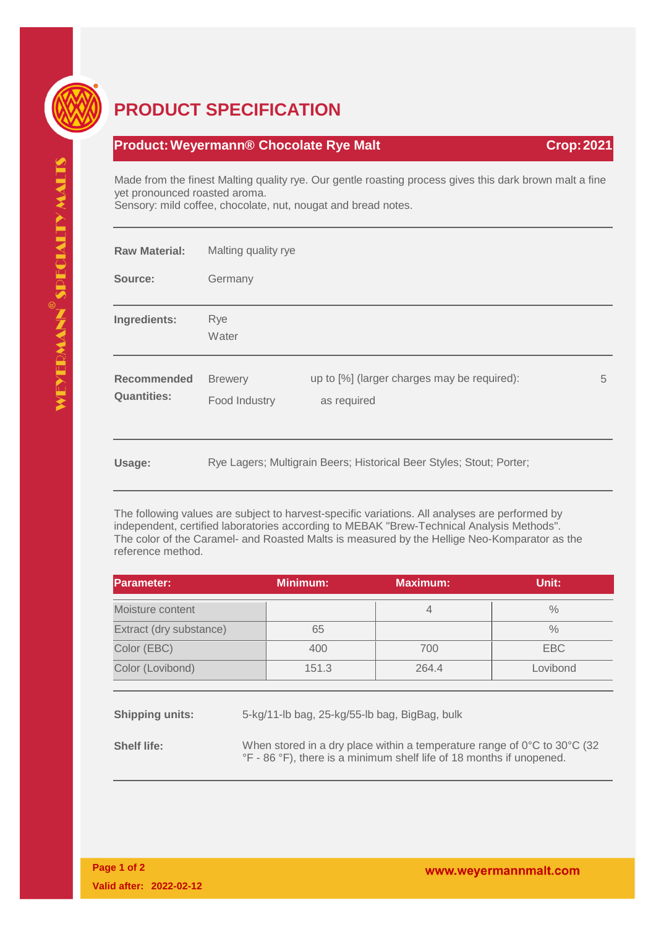

## **PRODUCT SPECIFICATION**

## **Product: Weyermann® Chocolate Rye Malt Crop: 2021 Crop: 2021**

Made from the finest Malting quality rye. Our gentle roasting process gives this dark brown malt a fine yet pronounced roasted aroma. Sensory: mild coffee, chocolate, nut, nougat and bread notes.

| <b>Raw Material:</b>              | Malting quality rye                                                  |                                                            |   |  |
|-----------------------------------|----------------------------------------------------------------------|------------------------------------------------------------|---|--|
| Source:                           | Germany                                                              |                                                            |   |  |
| Ingredients:                      | Rye<br>Water                                                         |                                                            |   |  |
| Recommended<br><b>Quantities:</b> | <b>Brewery</b><br>Food Industry                                      | up to [%] (larger charges may be required):<br>as required | 5 |  |
| Usage:                            | Rye Lagers; Multigrain Beers; Historical Beer Styles; Stout; Porter; |                                                            |   |  |

The following values are subject to harvest-specific variations. All analyses are performed by independent, certified laboratories according to MEBAK "Brew-Technical Analysis Methods". The color of the Caramel- and Roasted Malts is measured by the Hellige Neo-Komparator as the reference method.

| <b>Parameter:</b>       |  | <b>Minimum:</b>                               | <b>Maximum:</b> | Unit:    |
|-------------------------|--|-----------------------------------------------|-----------------|----------|
| Moisture content        |  |                                               | 4               | $\%$     |
| Extract (dry substance) |  | 65                                            |                 | $\%$     |
| Color (EBC)             |  | 400                                           | 700             | EBC      |
| Color (Lovibond)        |  | 151.3                                         | 264.4           | Lovibond |
|                         |  |                                               |                 |          |
| <b>Shipping units:</b>  |  | 5-kg/11-lb bag, 25-kg/55-lb bag, BigBag, bulk |                 |          |

**Shelf life:** When stored in a dry place within a temperature range of 0°C to 30°C (32 °F - 86 °F), there is a minimum shelf life of 18 months if unopened.